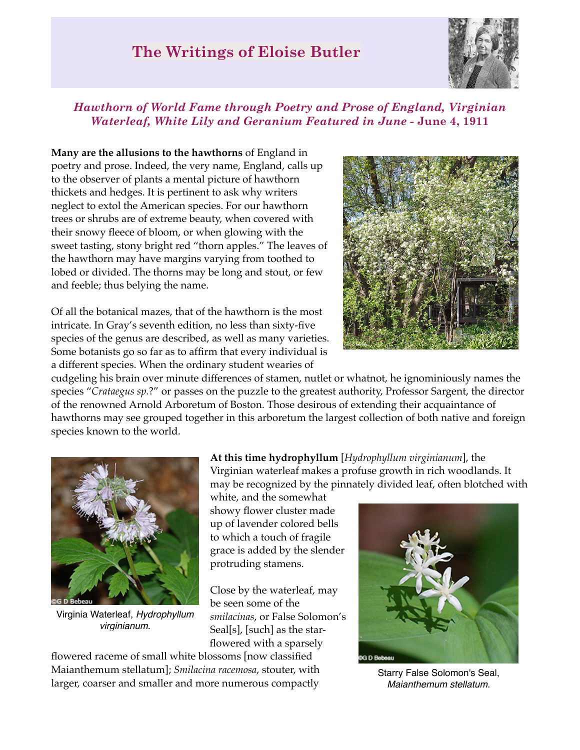## **The Writings of Eloise Butler**



## *Hawthorn of World Fame through Poetry and Prose of England, Virginian Waterleaf, White Lily and Geranium Featured in June* **- June 4, 1911**

**Many are the allusions to the hawthorns** of England in poetry and prose. Indeed, the very name, England, calls up to the observer of plants a mental picture of hawthorn thickets and hedges. It is pertinent to ask why writers neglect to extol the American species. For our hawthorn trees or shrubs are of extreme beauty, when covered with their snowy fleece of bloom, or when glowing with the sweet tasting, stony bright red "thorn apples." The leaves of the hawthorn may have margins varying from toothed to lobed or divided. The thorns may be long and stout, or few and feeble; thus belying the name.

Of all the botanical mazes, that of the hawthorn is the most intricate. In Gray's seventh edition, no less than sixty-five species of the genus are described, as well as many varieties. Some botanists go so far as to affirm that every individual is a different species. When the ordinary student wearies of

cudgeling his brain over minute differences of stamen, nutlet or whatnot, he ignominiously names the species "*Crataegus sp.*?" or passes on the puzzle to the greatest authority, Professor Sargent, the director of the renowned Arnold Arboretum of Boston. Those desirous of extending their acquaintance of hawthorns may see grouped together in this arboretum the largest collection of both native and foreign species known to the world.



Virginia Waterleaf, *Hydrophyllum virginianum*.

**At this time hydrophyllum** [*Hydrophyllum virginianum*], the Virginian waterleaf makes a profuse growth in rich woodlands. It may be recognized by the pinnately divided leaf, often blotched with

white, and the somewhat showy flower cluster made up of lavender colored bells to which a touch of fragile grace is added by the slender protruding stamens.

Close by the waterleaf, may be seen some of the *smilacinas*, or False Solomon's Seal[s], [such] as the starflowered with a sparsely

flowered raceme of small white blossoms [now classified Maianthemum stellatum]; *Smilacina racemosa*, stouter, with larger, coarser and smaller and more numerous compactly



Starry False Solomon's Seal, *Maianthemum stellatum*.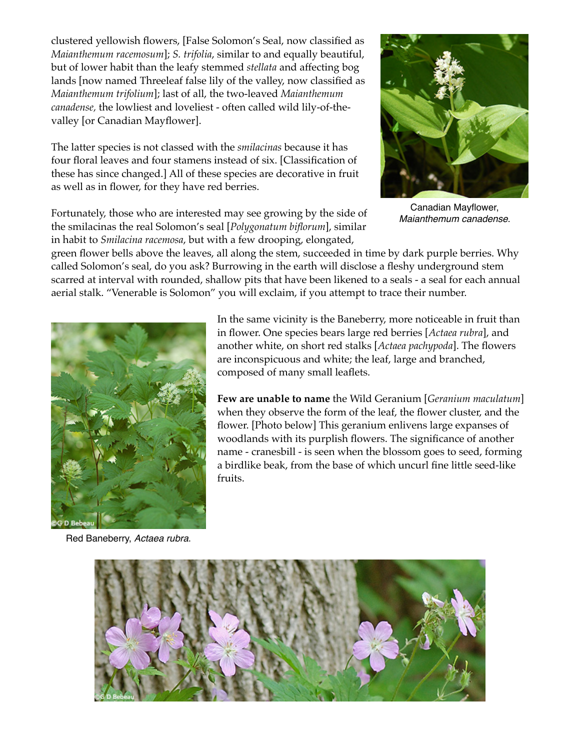clustered yellowish flowers, [False Solomon's Seal, now classified as *Maianthemum racemosum*]; *S. trifolia*, similar to and equally beautiful, but of lower habit than the leafy stemmed *stellata* and affecting bog lands [now named Threeleaf false lily of the valley, now classified as *Maianthemum trifolium*]; last of all, the two-leaved *Maianthemum canadense,* the lowliest and loveliest - often called wild lily-of-thevalley [or Canadian Mayflower].

The latter species is not classed with the *smilacinas* because it has four floral leaves and four stamens instead of six. [Classification of these has since changed.] All of these species are decorative in fruit as well as in flower, for they have red berries.

Fortunately, those who are interested may see growing by the side of the smilacinas the real Solomon's seal [*Polygonatum biflorum*], similar in habit to *Smilacina racemosa*, but with a few drooping, elongated,



Canadian Mayflower, *Maianthemum canadense*.

green flower bells above the leaves, all along the stem, succeeded in time by dark purple berries. Why called Solomon's seal, do you ask? Burrowing in the earth will disclose a fleshy underground stem scarred at interval with rounded, shallow pits that have been likened to a seals - a seal for each annual aerial stalk. "Venerable is Solomon" you will exclaim, if you attempt to trace their number.



Red Baneberry, *Actaea rubra*.

In the same vicinity is the Baneberry, more noticeable in fruit than in flower. One species bears large red berries [*Actaea rubra*], and another white, on short red stalks [*Actaea pachypoda*]. The flowers are inconspicuous and white; the leaf, large and branched, composed of many small leaflets.

**Few are unable to name** the Wild Geranium [*Geranium maculatum*] when they observe the form of the leaf, the flower cluster, and the flower. [Photo below] This geranium enlivens large expanses of woodlands with its purplish flowers. The significance of another name - cranesbill - is seen when the blossom goes to seed, forming a birdlike beak, from the base of which uncurl fine little seed-like fruits.